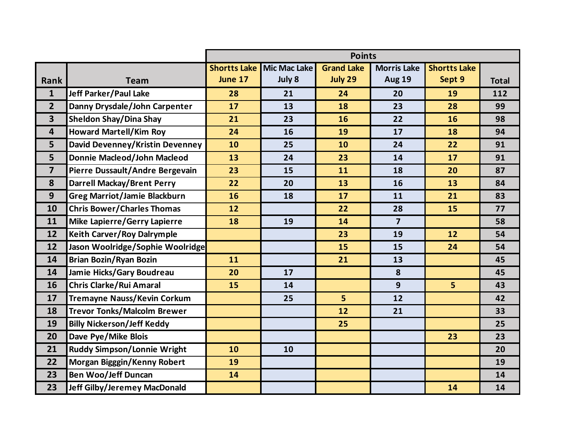|                         |                                     | <b>Points</b>       |                     |                   |                    |                     |              |  |  |
|-------------------------|-------------------------------------|---------------------|---------------------|-------------------|--------------------|---------------------|--------------|--|--|
|                         |                                     | <b>Shortts Lake</b> | <b>Mic Mac Lake</b> | <b>Grand Lake</b> | <b>Morris Lake</b> | <b>Shortts Lake</b> |              |  |  |
| Rank                    | <b>Team</b>                         | June 17             | July 8              | July 29           | <b>Aug 19</b>      | Sept 9              | <b>Total</b> |  |  |
| $\mathbf{1}$            | <b>Jeff Parker/Paul Lake</b>        | 28                  | 21                  | 24                | 20                 | 19                  | 112          |  |  |
| $\overline{2}$          | Danny Drysdale/John Carpenter       | 17                  | 13                  | 18                | 23                 | 28                  | 99           |  |  |
| $\overline{\mathbf{3}}$ | <b>Sheldon Shay/Dina Shay</b>       | 21                  | 23                  | 16                | 22                 | 16                  | 98           |  |  |
| $\overline{\mathbf{4}}$ | <b>Howard Martell/Kim Roy</b>       | 24                  | 16                  | 19                | 17                 | 18                  | 94           |  |  |
| 5                       | David Devenney/Kristin Devenney     | 10                  | 25                  | 10                | 24                 | 22                  | 91           |  |  |
| 5                       | <b>Donnie Macleod/John Macleod</b>  | 13                  | 24                  | 23                | 14                 | 17                  | 91           |  |  |
| $\overline{\mathbf{z}}$ | Pierre Dussault/Andre Bergevain     | 23                  | 15                  | 11                | 18                 | 20                  | 87           |  |  |
| 8                       | <b>Darrell Mackay/Brent Perry</b>   | 22                  | 20                  | 13                | 16                 | 13                  | 84           |  |  |
| 9                       | <b>Greg Marriot/Jamie Blackburn</b> | 16                  | 18                  | 17                | 11                 | 21                  | 83           |  |  |
| 10                      | <b>Chris Bower/Charles Thomas</b>   | 12                  |                     | 22                | 28                 | 15                  | 77           |  |  |
| 11                      | Mike Lapierre/Gerry Lapierre        | 18                  | 19                  | 14                | $\overline{7}$     |                     | 58           |  |  |
| 12                      | <b>Keith Carver/Roy Dalrymple</b>   |                     |                     | 23                | 19                 | 12                  | 54           |  |  |
| 12                      | Jason Woolridge/Sophie Woolridge    |                     |                     | 15                | 15                 | 24                  | 54           |  |  |
| 14                      | <b>Brian Bozin/Ryan Bozin</b>       | 11                  |                     | 21                | 13                 |                     | 45           |  |  |
| 14                      | Jamie Hicks/Gary Boudreau           | 20                  | 17                  |                   | 8                  |                     | 45           |  |  |
| 16                      | <b>Chris Clarke/Rui Amaral</b>      | 15                  | 14                  |                   | 9                  | 5                   | 43           |  |  |
| 17                      | <b>Tremayne Nauss/Kevin Corkum</b>  |                     | 25                  | 5 <sup>1</sup>    | 12                 |                     | 42           |  |  |
| 18                      | <b>Trevor Tonks/Malcolm Brewer</b>  |                     |                     | 12                | 21                 |                     | 33           |  |  |
| 19                      | <b>Billy Nickerson/Jeff Keddy</b>   |                     |                     | 25                |                    |                     | 25           |  |  |
| 20                      | Dave Pye/Mike Blois                 |                     |                     |                   |                    | 23                  | 23           |  |  |
| 21                      | <b>Ruddy Simpson/Lonnie Wright</b>  | 10                  | 10                  |                   |                    |                     | 20           |  |  |
| 22                      | Morgan Bigggin/Kenny Robert         | 19                  |                     |                   |                    |                     | 19           |  |  |
| 23                      | <b>Ben Woo/Jeff Duncan</b>          | 14                  |                     |                   |                    |                     | 14           |  |  |
| 23                      | <b>Jeff Gilby/Jeremey MacDonald</b> |                     |                     |                   |                    | 14                  | 14           |  |  |